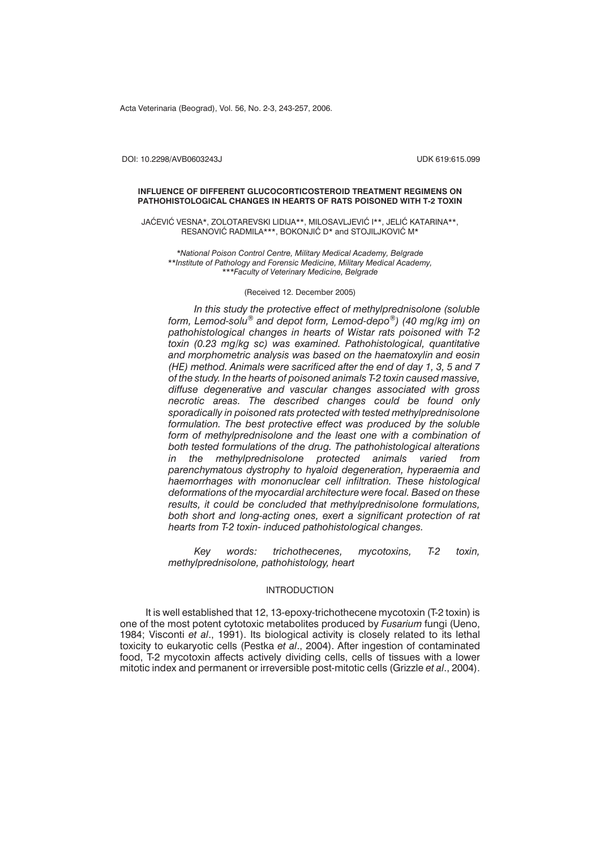Acta Veterinaria (Beograd), Vol. 56, No. 2-3, 243-257, 2006.

DOI: 10.2298/AVB0603243J UDK 619:615.099

#### **INFLUENCE OF DIFFERENT GLUCOCORTICOSTEROID TREATMENT REGIMENS ON PATHOHISTOLOGICAL CHANGES IN HEARTS OF RATS POISONED WITH T-2 TOXIN**

JAĆEVIĆ VESNA\*, ZOLOTAREVSKI LIDIJA\*\*, MILOSAVLJEVIĆ I\*\*, JELIĆ KATARINA\*\*, RESANOVIĆ RADMILA\*\*\*, BOKONJIĆ D\* and STOJILJKOVIĆ M\*

*\*National Poison Control Centre, Military Medical Academy, Belgrade \*\*Institute of Pathology and Forensic Medicine, Military Medical Academy, \*\*\*Faculty of Veterinary Medicine, Belgrade*

# (Received 12. December 2005)

*In this study the protective effect of methylprednisolone (soluble form, Lemod-solu*® *and depot form, Lemod-depo*®*) (40 mg/kg im) on pathohistological changes in hearts of Wistar rats poisoned with T-2 toxin (0.23 mg/kg sc) was examined. Pathohistological, quantitative and morphometric analysis was based on the haematoxylin and eosin (HE) method. Animals were sacrificed after the end of day 1, 3, 5 and 7 of the study. In the hearts of poisoned animals T-2 toxin caused massive, diffuse degenerative and vascular changes associated with gross necrotic areas. The described changes could be found only sporadically in poisoned rats protected with tested methylprednisolone formulation. The best protective effect was produced by the soluble form of methylprednisolone and the least one with a combination of both tested formulations of the drug. The pathohistological alterations in the methylprednisolone protected animals varied from parenchymatous dystrophy to hyaloid degeneration, hyperaemia and haemorrhages with mononuclear cell infiltration. These histological deformations of the myocardial architecture were focal. Based on these results, it could be concluded that methylprednisolone formulations, both short and long-acting ones, exert a significant protection of rat hearts from T-2 toxin- induced pathohistological changes.*

*Key words: trichothecenes, mycotoxins, T-2 toxin, methylprednisolone, pathohistology, heart*

# INTRODUCTION

It is well established that 12, 13-epoxy-trichothecene mycotoxin (T-2 toxin) is one of the most potent cytotoxic metabolites produced by *Fusarium* fungi (Ueno, 1984; Visconti *et al*., 1991). Its biological activity is closely related to its lethal toxicity to eukaryotic cells (Pestka *et al*., 2004). After ingestion of contaminated food, T-2 mycotoxin affects actively dividing cells, cells of tissues with a lower mitotic index and permanent or irreversible post-mitotic cells (Grizzle *et al*., 2004).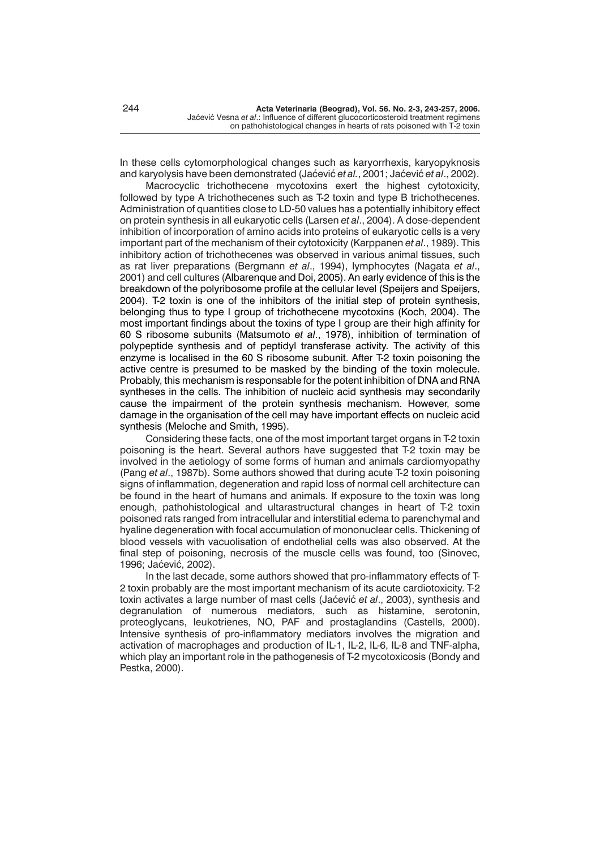In these cells cytomorphological changes such as karyorrhexis, karyopyknosis and karyolysis have been demonstrated (Jaćević et al., 2001; Jaćević et al., 2002).

Macrocyclic trichothecene mycotoxins exert the highest cytotoxicity, followed by type A trichothecenes such as T-2 toxin and type B trichothecenes. Administration of quantities close to LD-50 values has a potentially inhibitory effect on protein synthesis in all eukaryotic cells (Larsen *et al*., 2004). A dose-dependent inhibition of incorporation of amino acids into proteins of eukaryotic cells is a very important part of the mechanism of their cytotoxicity (Karppanen *et al*., 1989). This inhibitory action of trichothecenes was observed in various animal tissues, such as rat liver preparations (Bergmann *et al*., 1994), lymphocytes (Nagata *et al*., 2001) and cell cultures (Albarenque and Doi, 2005). An early evidence of this is the breakdown of the polyribosome profile at the cellular level (Speijers and Speijers, 2004). T-2 toxin is one of the inhibitors of the initial step of protein synthesis, belonging thus to type I group of trichothecene mycotoxins (Koch, 2004). The most important findings about the toxins of type I group are their high affinity for 60 S ribosome subunits (Matsumoto *et al*., 1978), inhibition of termination of polypeptide synthesis and of peptidyl transferase activity. The activity of this enzyme is localised in the 60 S ribosome subunit. After T-2 toxin poisoning the active centre is presumed to be masked by the binding of the toxin molecule. Probably, this mechanism is responsable for the potent inhibition of DNA and RNA syntheses in the cells. The inhibition of nucleic acid synthesis may secondarily cause the impairment of the protein synthesis mechanism. However, some damage in the organisation of the cell may have important effects on nucleic acid synthesis (Meloche and Smith, 1995).

Considering these facts, one of the most important target organs in T-2 toxin poisoning is the heart. Several authors have suggested that T-2 toxin may be involved in the aetiology of some forms of human and animals cardiomyopathy (Pang *et al*., 1987b). Some authors showed that during acute T-2 toxin poisoning signs of inflammation, degeneration and rapid loss of normal cell architecture can be found in the heart of humans and animals. If exposure to the toxin was long enough, pathohistological and ultarastructural changes in heart of T-2 toxin poisoned rats ranged from intracellular and interstitial edema to parenchymal and hyaline degeneration with focal accumulation of mononuclear cells. Thickening of blood vessels with vacuolisation of endothelial cells was also observed. At the final step of poisoning, necrosis of the muscle cells was found, too (Sinovec, 1996; Jaćević, 2002).

In the last decade, some authors showed that pro-inflammatory effects of T-2 toxin probably are the most important mechanism of its acute cardiotoxicity. T-2 toxin activates a large number of mast cells (Jaćević et al., 2003), synthesis and degranulation of numerous mediators, such as histamine, serotonin, proteoglycans, leukotrienes, NO, PAF and prostaglandins (Castells, 2000). Intensive synthesis of pro-inflammatory mediators involves the migration and activation of macrophages and production of IL-1, IL-2, IL-6, IL-8 and TNF-alpha, which play an important role in the pathogenesis of T-2 mycotoxicosis (Bondy and Pestka, 2000).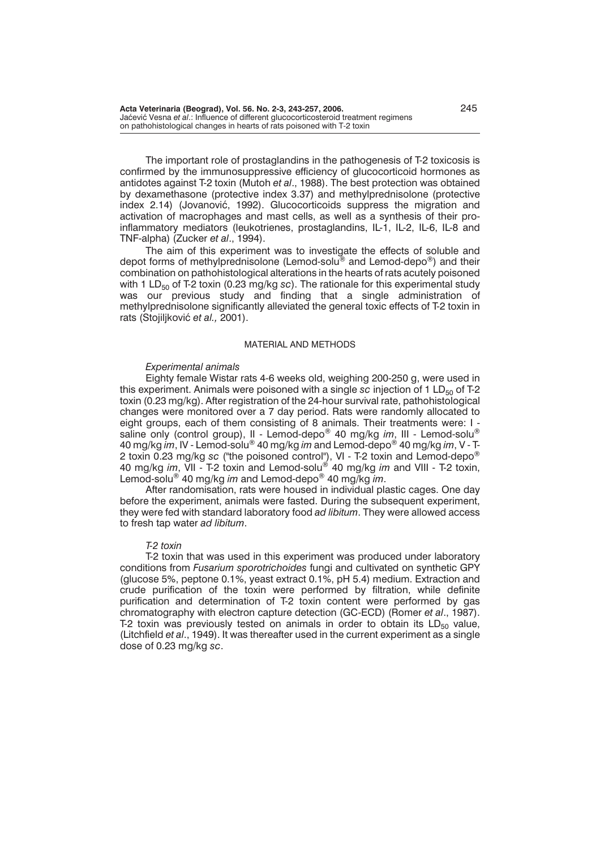The important role of prostaglandins in the pathogenesis of T-2 toxicosis is confirmed by the immunosuppressive efficiency of glucocorticoid hormones as antidotes against T-2 toxin (Mutoh *et al*., 1988). The best protection was obtained by dexamethasone (protective index 3.37) and methylprednisolone (protective index 2.14) (Jovanović, 1992). Glucocorticoids suppress the migration and activation of macrophages and mast cells, as well as a synthesis of their proinflammatory mediators (leukotrienes, prostaglandins, IL-1, IL-2, IL-6, IL-8 and TNF-alpha) (Zucker *et al*., 1994).

The aim of this experiment was to investigate the effects of soluble and depot forms of methylprednisolone (Lemod-solu® and Lemod-depo®) and their combination on pathohistological alterations in the hearts of rats acutely poisoned with 1 LD<sub>50</sub> of T-2 toxin (0.23 mg/kg sc). The rationale for this experimental study was our previous study and finding that a single administration of methylprednisolone significantly alleviated the general toxic effects of T-2 toxin in rats (Stojiljković et al., 2001).

#### MATERIAL AND METHODS

#### *Experimental animals*

Eighty female Wistar rats 4-6 weeks old, weighing 200-250 g, were used in this experiment. Animals were poisoned with a single *sc* injection of 1 LD<sub>50</sub> of T-2 toxin (0.23 mg/kg). After registration of the 24-hour survival rate, pathohistological changes were monitored over a 7 day period. Rats were randomly allocated to eight groups, each of them consisting of 8 animals. Their treatments were: I saline only (control group), II - Lemod-depo® 40 mg/kg *im*, III - Lemod-solu® 40 mg/kg *im*, IV - Lemod-solu® 40 mg/kg *im* and Lemod-depo® 40 mg/kg *im*, V - T-2 toxin 0.23 mg/kg *sc* ("the poisoned control"), VI - T-2 toxin and Lemod-depo® 40 mg/kg *im*, VII - T-2 toxin and Lemod-solu® 40 mg/kg *im* and VIII - T-2 toxin, Lemod-solu® 40 mg/kg *im* and Lemod-depo® 40 mg/kg *im*.

After randomisation, rats were housed in individual plastic cages. One day before the experiment, animals were fasted. During the subsequent experiment, they were fed with standard laboratory food *ad libitum*. They were allowed access to fresh tap water *ad libitum*.

#### *T-2 toxin*

T-2 toxin that was used in this experiment was produced under laboratory conditions from *Fusarium sporotrichoides* fungi and cultivated on synthetic GPY (glucose 5%, peptone 0.1%, yeast extract 0.1%, pH 5.4) medium. Extraction and crude purification of the toxin were performed by filtration, while definite purification and determination of T-2 toxin content were performed by gas chromatography with electron capture detection (GC-ECD) (Romer *et al*., 1987). T-2 toxin was previously tested on animals in order to obtain its  $LD_{50}$  value, (Litchfield *et al*., 1949). It was thereafter used in the current experiment as a single dose of 0.23 mg/kg *sc*.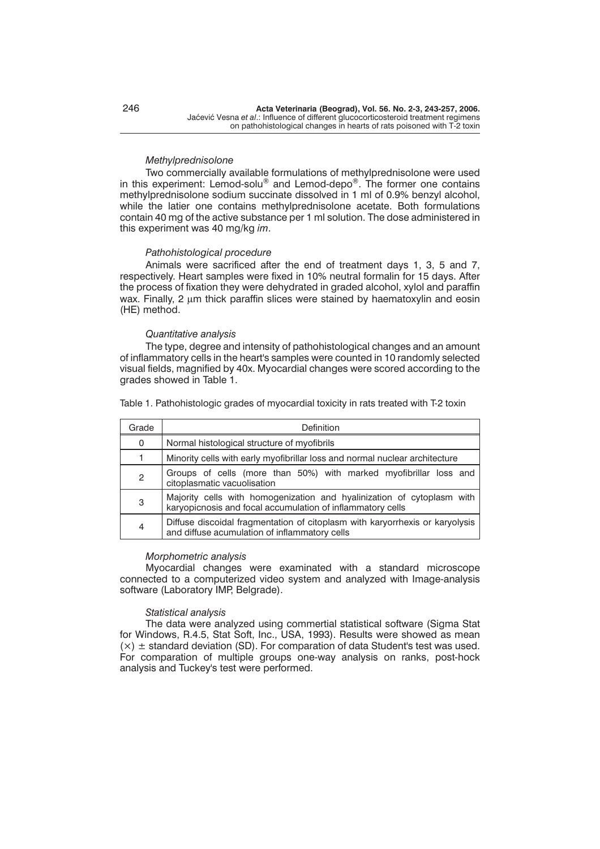### *Methylprednisolone*

Two commercially available formulations of methylprednisolone were used in this experiment: Lemod-solu® and Lemod-depo®. The former one contains methylprednisolone sodium succinate dissolved in 1 ml of 0.9% benzyl alcohol, while the latier one contains methylprednisolone acetate. Both formulations contain 40 mg of the active substance per 1 ml solution. The dose administered in this experiment was 40 mg/kg *im*.

### *Pathohistological procedure*

Animals were sacrificed after the end of treatment days 1, 3, 5 and 7, respectively. Heart samples were fixed in 10% neutral formalin for 15 days. After the process of fixation they were dehydrated in graded alcohol, xylol and paraffin wax. Finally,  $2 \mu m$  thick paraffin slices were stained by haematoxylin and eosin (HE) method.

# *Quantitative analysis*

The type, degree and intensity of pathohistological changes and an amount of inflammatory cells in the heart's samples were counted in 10 randomly selected visual fields, magnified by 40x. Myocardial changes were scored according to the grades showed in Table 1.

Table 1. Pathohistologic grades of myocardial toxicity in rats treated with T-2 toxin

| Grade          | Definition                                                                                                                           |
|----------------|--------------------------------------------------------------------------------------------------------------------------------------|
| 0              | Normal histological structure of myofibrils                                                                                          |
|                | Minority cells with early myofibrillar loss and normal nuclear architecture                                                          |
| $\overline{c}$ | Groups of cells (more than 50%) with marked myofibrillar loss and<br>citoplasmatic vacuolisation                                     |
| 3              | Majority cells with homogenization and hyalinization of cytoplasm with<br>karyopicnosis and focal accumulation of inflammatory cells |
| $\overline{4}$ | Diffuse discoidal fragmentation of citoplasm with karyorrhexis or karyolysis<br>and diffuse acumulation of inflammatory cells        |

### *Morphometric analysis*

Myocardial changes were examinated with a standard microscope connected to a computerized video system and analyzed with Image-analysis software (Laboratory IMP, Belgrade).

### *Statistical analysis*

The data were analyzed using commertial statistical software (Sigma Stat for Windows, R.4.5, Stat Soft, Inc., USA, 1993). Results were showed as mean  $(x)$   $\pm$  standard deviation (SD). For comparation of data Student's test was used. For comparation of multiple groups one-way analysis on ranks, post-hock analysis and Tuckey's test were performed.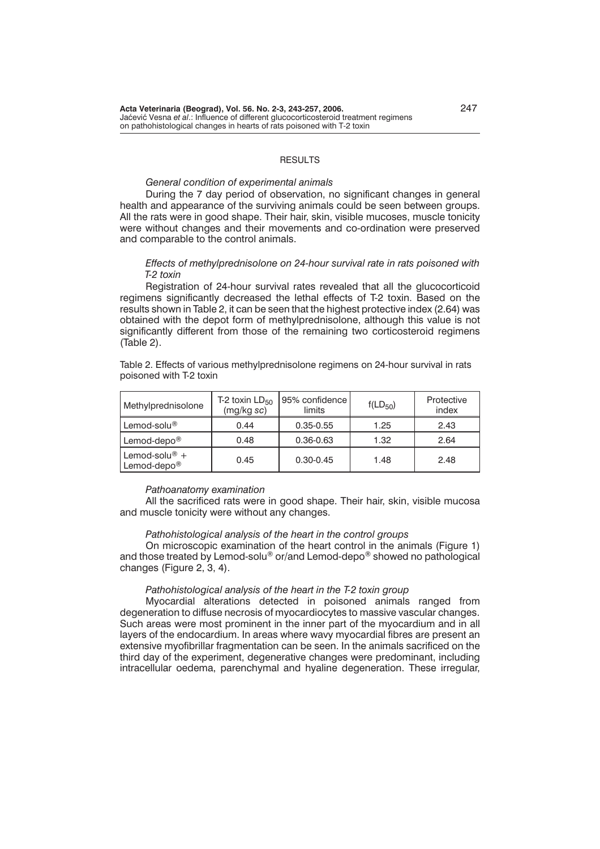# **RESULTS**

# *General condition of experimental animals*

During the 7 day period of observation, no significant changes in general health and appearance of the surviving animals could be seen between groups. All the rats were in good shape. Their hair, skin, visible mucoses, muscle tonicity were without changes and their movements and co-ordination were preserved and comparable to the control animals.

# *Effects of methylprednisolone on 24-hour survival rate in rats poisoned with T-2 toxin*

Registration of 24-hour survival rates revealed that all the glucocorticoid regimens significantly decreased the lethal effects of T-2 toxin. Based on the results shown in Table 2, it can be seen that the highest protective index (2.64) was obtained with the depot form of methylprednisolone, although this value is not significantly different from those of the remaining two corticosteroid regimens (Table 2).

Table 2. Effects of various methylprednisolone regimens on 24-hour survival in rats poisoned with T-2 toxin

| Methylprednisolone                         | T-2 toxin $LD_{50}$<br>(mg/kg sc) | 95% confidence<br>limits | $f(LD_{50})$ | Protective<br>index |
|--------------------------------------------|-----------------------------------|--------------------------|--------------|---------------------|
| Lemod-solu <sup>®</sup>                    | 0.44                              | $0.35 - 0.55$            | 1.25         | 2.43                |
| Lemod-depo <sup>®</sup>                    | 0.48                              | $0.36 - 0.63$            | 1.32         | 2.64                |
| Lemod-solu® $+$<br>Lemod-depo <sup>®</sup> | 0.45                              | $0.30 - 0.45$            | 1.48         | 2.48                |

### *Pathoanatomy examination*

All the sacrificed rats were in good shape. Their hair, skin, visible mucosa and muscle tonicity were without any changes.

### *Pathohistological analysis of the heart in the control groups*

On microscopic examination of the heart control in the animals (Figure 1) and those treated by Lemod-solu® or/and Lemod-depo® showed no pathological changes (Figure 2, 3, 4).

### *Pathohistological analysis of the heart in the T-2 toxin group*

Myocardial alterations detected in poisoned animals ranged from degeneration to diffuse necrosis of myocardiocytes to massive vascular changes. Such areas were most prominent in the inner part of the myocardium and in all layers of the endocardium. In areas where wavy myocardial fibres are present an extensive myofibrillar fragmentation can be seen. In the animals sacrificed on the third day of the experiment, degenerative changes were predominant, including intracellular oedema, parenchymal and hyaline degeneration. These irregular,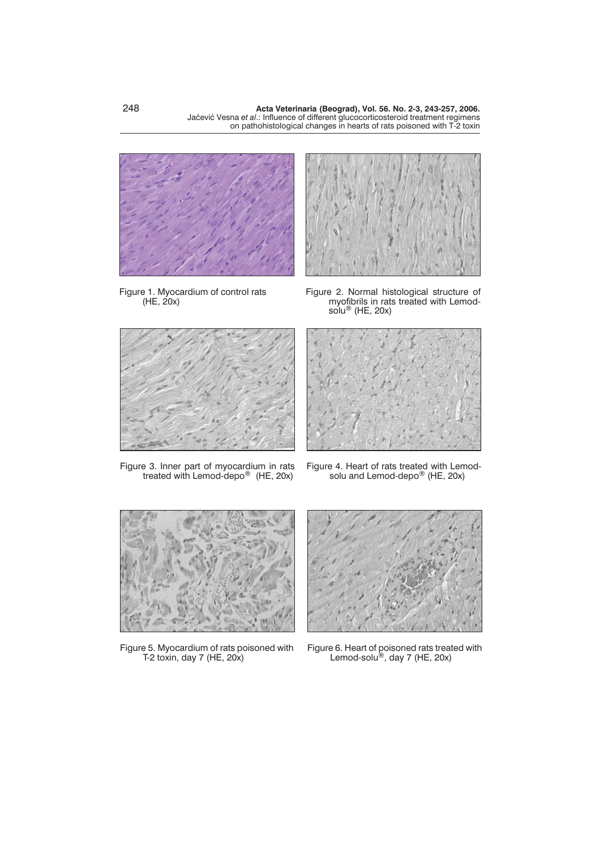

Figure 1. Myocardium of control rats (HE, 20x)



Figure 2. Normal histological structure of myofibrils in rats treated with Lemodsolu® (HE, 20x)



Figure 3. Inner part of myocardium in rats treated with Lemod-depo® (HE, 20x)

Figure 4. Heart of rats treated with Lemodsolu and Lemod-depo $^{\circledR}$  (HE, 20x)



Figure 5. Myocardium of rats poisoned with T-2 toxin, day 7 (HE, 20x)



Figure 6. Heart of poisoned rats treated with Lemod-solu<sup>®</sup>, day 7 (HE, 20x)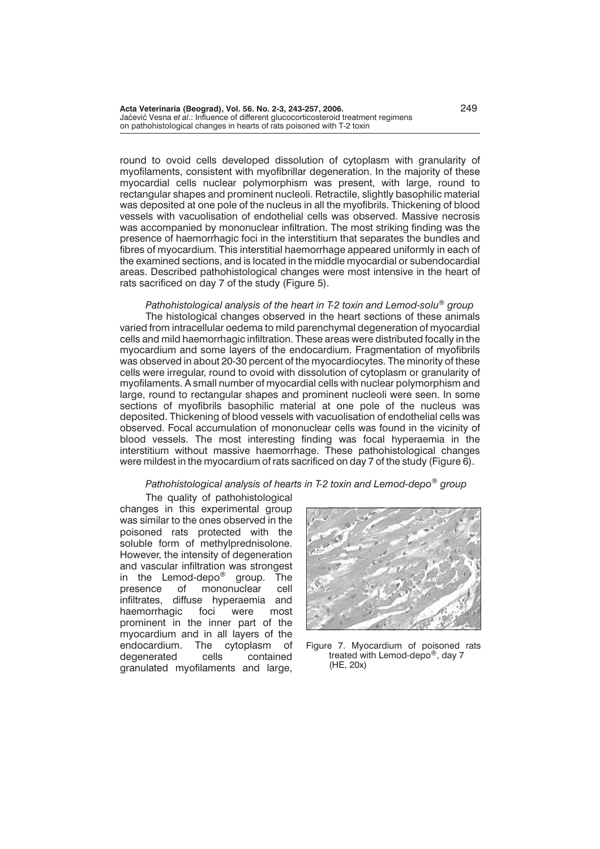round to ovoid cells developed dissolution of cytoplasm with granularity of myofilaments, consistent with myofibrillar degeneration. In the majority of these myocardial cells nuclear polymorphism was present, with large, round to rectangular shapes and prominent nucleoli. Retractile, slightly basophilic material was deposited at one pole of the nucleus in all the myofibrils. Thickening of blood vessels with vacuolisation of endothelial cells was observed. Massive necrosis was accompanied by mononuclear infiltration. The most striking finding was the presence of haemorrhagic foci in the interstitium that separates the bundles and fibres of myocardium. This interstitial haemorrhage appeared uniformly in each of the examined sections, and is located in the middle myocardial or subendocardial areas. Described pathohistological changes were most intensive in the heart of rats sacrificed on day 7 of the study (Figure 5).

*Pathohistological analysis of the heart in T-2 toxin and Lemod-solu® group* The histological changes observed in the heart sections of these animals varied from intracellular oedema to mild parenchymal degeneration of myocardial cells and mild haemorrhagic infiltration. These areas were distributed focally in the myocardium and some layers of the endocardium. Fragmentation of myofibrils was observed in about 20-30 percent of the myocardiocytes. The minority of these cells were irregular, round to ovoid with dissolution of cytoplasm or granularity of myofilaments. A small number of myocardial cells with nuclear polymorphism and large, round to rectangular shapes and prominent nucleoli were seen. In some sections of myofibrils basophilic material at one pole of the nucleus was deposited. Thickening of blood vessels with vacuolisation of endothelial cells was observed. Focal accumulation of mononuclear cells was found in the vicinity of blood vessels. The most interesting finding was focal hyperaemia in the interstitium without massive haemorrhage. These pathohistological changes were mildest in the myocardium of rats sacrificed on day 7 of the study (Figure 6).

## *Pathohistological analysis of hearts in T-2 toxin and Lemod-depo® group*

The quality of pathohistological changes in this experimental group was similar to the ones observed in the poisoned rats protected with the soluble form of methylprednisolone. However, the intensity of degeneration and vascular infiltration was strongest in the Lemod-depo<sup>®</sup> group. The<br>presence of mononuclear cell mononuclear cell infiltrates, diffuse hyperaemia and<br>haemorrhagic foci were most haemorrhagic foci were most prominent in the inner part of the myocardium and in all layers of the endocardium. The cytoplasm of degenerated cells contained granulated myofilaments and large,



Figure 7. Myocardium of poisoned rats treated with Lemod-depo®, day 7 (HE, 20x)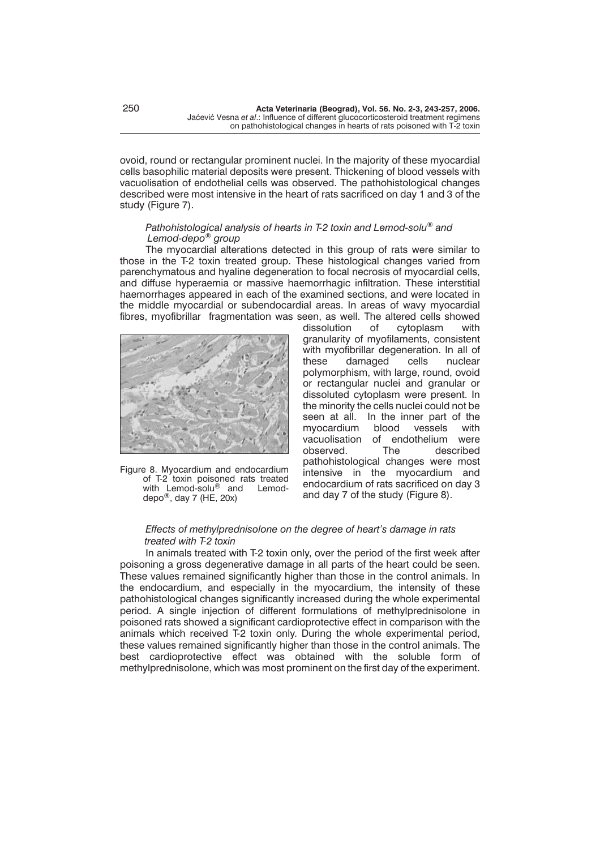ovoid, round or rectangular prominent nuclei. In the majority of these myocardial cells basophilic material deposits were present. Thickening of blood vessels with vacuolisation of endothelial cells was observed. The pathohistological changes described were most intensive in the heart of rats sacrificed on day 1 and 3 of the study (Figure 7).

# *Pathohistological analysis of hearts in T-2 toxin and Lemod-solu® and Lemod-depo® group*

The myocardial alterations detected in this group of rats were similar to those in the T-2 toxin treated group. These histological changes varied from parenchymatous and hyaline degeneration to focal necrosis of myocardial cells, and diffuse hyperaemia or massive haemorrhagic infiltration. These interstitial haemorrhages appeared in each of the examined sections, and were located in the middle myocardial or subendocardial areas. In areas of wavy myocardial fibres, myofibrillar fragmentation was seen, as well. The altered cells showed



Figure 8. Myocardium and endocardium of T-2 toxin poisoned rats treated<br>with Lemod-solu<sup>®</sup> and Lemodwith Lemod-solu® and depo®, day 7 (HE, 20x)

dissolution of cytoplasm with granularity of myofilaments, consistent with myofibrillar degeneration. In all of these damaged cells nuclear polymorphism, with large, round, ovoid or rectangular nuclei and granular or dissoluted cytoplasm were present. In the minority the cells nuclei could not be seen at all. In the inner part of the myocardium blood vessels with myocardium blood vessels with vacuolisation of endothelium were<br>observed. The described observed. The described pathohistological changes were most intensive in the myocardium and endocardium of rats sacrificed on day 3 and day 7 of the study (Figure 8).

# *Effects of methylprednisolone on the degree of heart's damage in rats treated with T-2 toxin*

In animals treated with T-2 toxin only, over the period of the first week after poisoning a gross degenerative damage in all parts of the heart could be seen. These values remained significantly higher than those in the control animals. In the endocardium, and especially in the myocardium, the intensity of these pathohistological changes significantly increased during the whole experimental period. A single injection of different formulations of methylprednisolone in poisoned rats showed a significant cardioprotective effect in comparison with the animals which received T-2 toxin only. During the whole experimental period, these values remained significantly higher than those in the control animals. The best cardioprotective effect was obtained with the soluble form of methylprednisolone, which was most prominent on the first day of the experiment.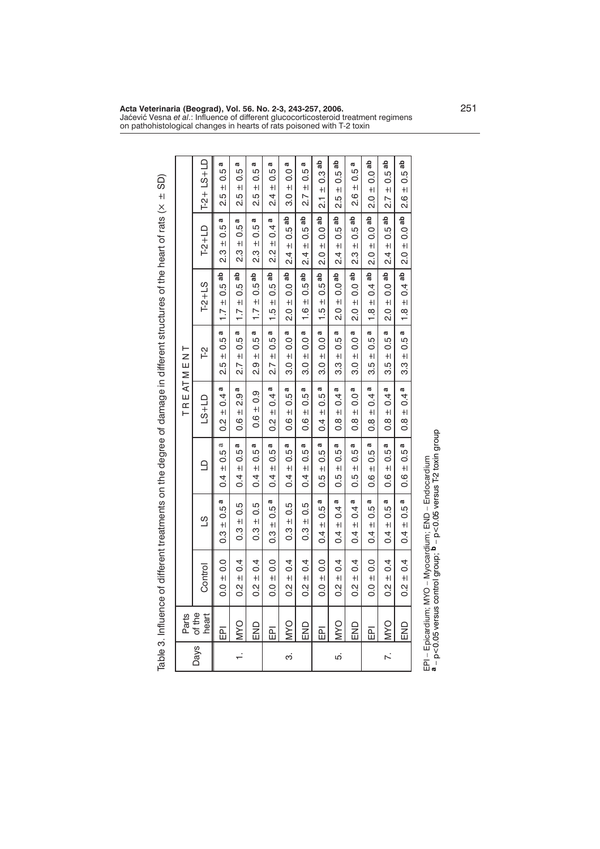|        |                 |                                    | Table 3. Influence of different treatments on the gree of damage in different structures of the heart of rats (x ± SD) |                                     |                                           |                                       |                                       |                                              |                                   |
|--------|-----------------|------------------------------------|------------------------------------------------------------------------------------------------------------------------|-------------------------------------|-------------------------------------------|---------------------------------------|---------------------------------------|----------------------------------------------|-----------------------------------|
|        | Parts           |                                    |                                                                                                                        |                                     | TREATMEN                                  | ⊢                                     |                                       |                                              |                                   |
| Days   | of the<br>heart | Control                            | ST                                                                                                                     | $\Box$                              | $L-S+LD$                                  | Γ2                                    | $T-2+LS$                              | $T-2+LD$                                     | $T-2+LS+LD$                       |
|        | 盃               | $\pm 0.0$<br>$\frac{0}{0}$         | a<br>0.5<br>$+1$<br>ი<br>0.3                                                                                           | a<br>0.5<br>$+1$<br>$\overline{0}$  | a<br>0.4<br>$+1$<br>$\frac{2}{3}$         | a<br>$-10.5$<br>LO <sub>.</sub><br>نہ | ab<br>0.5<br>$+1$<br>$\overline{1}$ . | a<br>0.5<br>$+$<br>ვ<br>2.                   | a<br>rú<br>ö<br>$+1$<br>2.5       |
| $\div$ | OAM             | $\pm 0.4$<br>$\frac{2}{3}$         | $\pm 0.5$<br><br>0.3                                                                                                   | 10.5a<br>$\overline{0}$             | a<br>$-2.9$<br>0.6                        | 10.5a<br>2.7                          | $\pm$ 0.5 ab<br>$\overline{1}$ .      | $0.5^{\rm a}$<br>$+1$<br>ვ.<br>2             | Ø<br>0.5<br>$+1$<br>2.5           |
|        | END             | $0.2 \pm 0.4$                      | $-10.5$<br>$\frac{3}{5}$                                                                                               | $0.5^{\rm a}$<br>$+1$<br>$\ddot{0}$ | $0.6 \pm 0.9$                             | a<br>$\pm 0.5$<br>ი<br>ა              | $\pm 0.5$ ab<br>$\overline{1}$ .      | a<br>0.5<br>$+1$<br>ິດ<br>ລ                  | a<br>0.5<br>$+1$<br>2.5           |
|        | 岛               | $\frac{1}{2}$ 0.0<br>$\frac{0}{0}$ | a<br>0.5<br>$\ddot{+}$<br><u>ვ</u>                                                                                     | 0.5a<br>$+$<br>$\overline{6}$       | a<br>$\pm 0.4$<br>$\frac{2}{5}$           | Ø<br>$\pm 0.5$<br>$\overline{2.7}$    | ಹೆ<br>0.5<br>$+1$<br>$\frac{1}{1}$ .  | Ø<br>$\overline{0}$<br>$+1$<br>$\frac{2}{3}$ | Ø<br>0.5<br>$+1$<br>2.1           |
| က      | OAM             | $\pm 0.4$<br>$\frac{2}{5}$         | $0.3 \pm 0.5$                                                                                                          | 0.5a<br>$+1$<br>$\overline{0}$      | a<br>$\pm 0.5$<br>$\frac{6}{1}$           | $= 0.0$ a<br>.<br>თ                   | $\pm 0.0$ ab<br>0.<br>20              | $0.5^{ab}$<br>$+1$<br>2.4                    | 0.0 <sup>a</sup><br>$+1$<br>3.0   |
|        | END             | $\pm 0.4$<br>$\frac{2}{3}$         | 0.5<br>$+1$<br>ი<br>0.3                                                                                                | 0.5a<br>$+1$<br>$\overline{0.4}$    | a<br>0.5<br>$+$<br>0.6                    | $\pm 0.0$ a<br><u>ვე</u>              | $0.5$ ab<br>$+1$<br>$\frac{0}{1}$     | $0.5$ ab<br>$+1$<br>4<br>ςi                  | a<br>0.5<br>$+$<br>2.7            |
|        | 岛               | $0.0 + 0.0$                        | 10.5a<br>0.4                                                                                                           | $\pm 0.5a$<br>0.5                   | a<br>$\pm 0.5$<br>$\overline{0}$          | $\pm$ 0.0 $\overline{a}$<br>.<br>თ    | $\pm 0.5$ ab<br>$\frac{1}{1}$ .       | $\pm 0.0$ ab<br>0<br>ณ                       | $\pm$ 0.3 ab<br>ب<br>21           |
| πò     | OAM             | $0.2 \pm 0.4$                      | $0.4 \pm 0.4$ a                                                                                                        | $0.5^{\rm a}$<br>$+1$<br>0.5        | $\pm$ 0.4 a<br>$\frac{8}{2}$              | 10.5a<br>က္ပဲ                         | $2.0 \pm 0.0$ ab                      | $\pm 0.5$ ab<br>4<br>۵i                      | $0.5$ ab<br>$+1$<br>2.5           |
|        | END             | $\pm 0.4$<br>$\frac{2}{3}$         | a<br>$\frac{4}{4}$<br>$+1$<br>0.4                                                                                      | 0.5 a<br>$+1$<br>0.5                | $\pm$ 0.0 $\overline{a}$<br>$\frac{8}{2}$ | $\pm$ 0.0 $a$<br><u>ვე</u>            | $-0.0$ ab<br>$+1$<br><u>ุด</u>        | $0.5$ ab<br>$+1$<br>ო<br>ა                   | Ø<br>0.5<br>$+1$<br>8.6           |
|        | 區               | $0.0 \pm 0.0$                      | 0.5a<br>$+1$<br>0.4                                                                                                    | 0.5a<br>$+1$<br>0.6                 | $= 0.4$ a<br>$\frac{8}{10}$               | $\pm 0.5a$<br>3.5                     | $\pm$ 0.4 ab<br>$\frac{8}{1}$         | $\pm 0.0$ ab<br>$\frac{0}{2}$                | $0.0$ ab<br>$+1$<br>$\frac{0}{2}$ |
| Z.     | <b>OAM</b>      | $\pm 0.4$<br>$\frac{2}{3}$         | Ø<br>$0.5^{\circ}$<br>$+1$<br>$\overline{0}$                                                                           | 0.5 <sup>a</sup><br>$+1$<br>9.6     | a<br>0.4<br>$+1$<br>$\frac{8}{2}$         | 0.5a<br>$+1$<br>LO <sub>.</sub><br>က  | $1$ que $0.0$<br>$+1$<br>o.<br>N      | $0.5$ ab<br>$+1$<br>2.4                      | $0.5$ ab<br>$+1$<br>2.7           |
|        | END<br>E        | $0.2 \pm 0.4$                      | $0.4 \pm 0.5$ a                                                                                                        | $0.6 \pm 0.5^a$                     | $= 0.4$ a<br>$\frac{8}{2}$                | $\pm 0.5$ a<br>က္ပ                    | 1.8 $\pm$ 0.4 ab                      | $2.0 \pm 0.0$ ab                             | $\pm 0.5$ ab<br>0.6               |
|        |                 |                                    |                                                                                                                        |                                     |                                           |                                       |                                       |                                              |                                   |

on pathohistological changes in hearts of rats poisoned with T-2 toxin

EPI – Epicardium; MYO – Myocardium; END – Endocardium EPI – Epicardium; MYO – Myocardium; END – Endocardium<br><sup>a</sup> – p<0.05 versus control group; <sup>b</sup> – p<0.05 versus T-2 toxin group – p<0.05 versus control group; **b** – p<0.05 versus T-2 toxin group

**Acta Veterinaria (Beograd), Vol. 56. No. 2-3, 243-257, 2006.** 251 Jaćević Vesna *et al.*: Influence of different glucocorticosteroid treatment regimens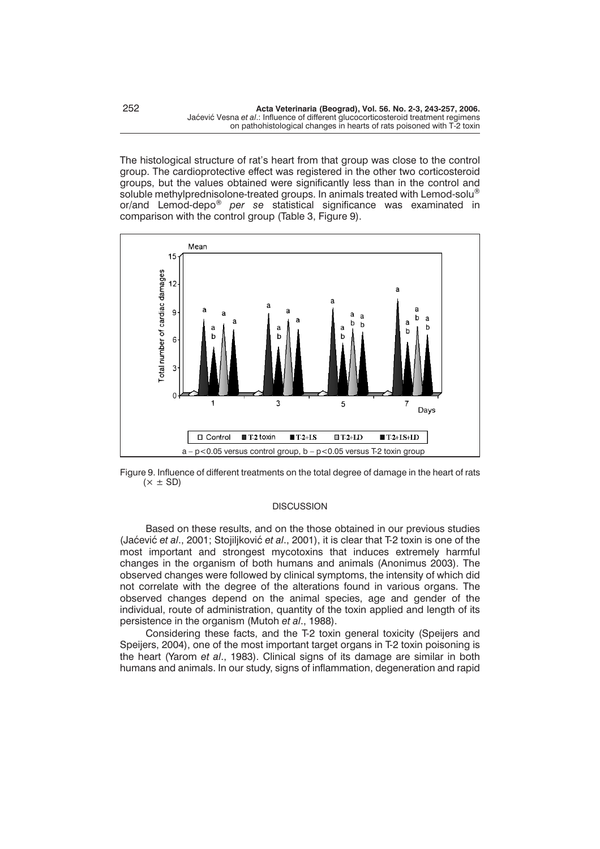The histological structure of rat's heart from that group was close to the control group. The cardioprotective effect was registered in the other two corticosteroid groups, but the values obtained were significantly less than in the control and soluble methylprednisolone-treated groups. In animals treated with Lemod-solu<sup>®</sup> or/and Lemod-depo® *per se* statistical significance was examinated in comparison with the control group (Table 3, Figure 9).





#### **DISCUSSION**

Based on these results, and on the those obtained in our previous studies (Jaćević *et al., 2001; Stojiliković et al., 2001), it is clear that T-2 toxin is one of the* most important and strongest mycotoxins that induces extremely harmful changes in the organism of both humans and animals (Anonimus 2003). The observed changes were followed by clinical symptoms, the intensity of which did not correlate with the degree of the alterations found in various organs. The observed changes depend on the animal species, age and gender of the individual, route of administration, quantity of the toxin applied and length of its persistence in the organism (Mutoh *et al*., 1988).

Considering these facts, and the T-2 toxin general toxicity (Speijers and Speijers, 2004), one of the most important target organs in T-2 toxin poisoning is the heart (Yarom *et al*., 1983). Clinical signs of its damage are similar in both humans and animals. In our study, signs of inflammation, degeneration and rapid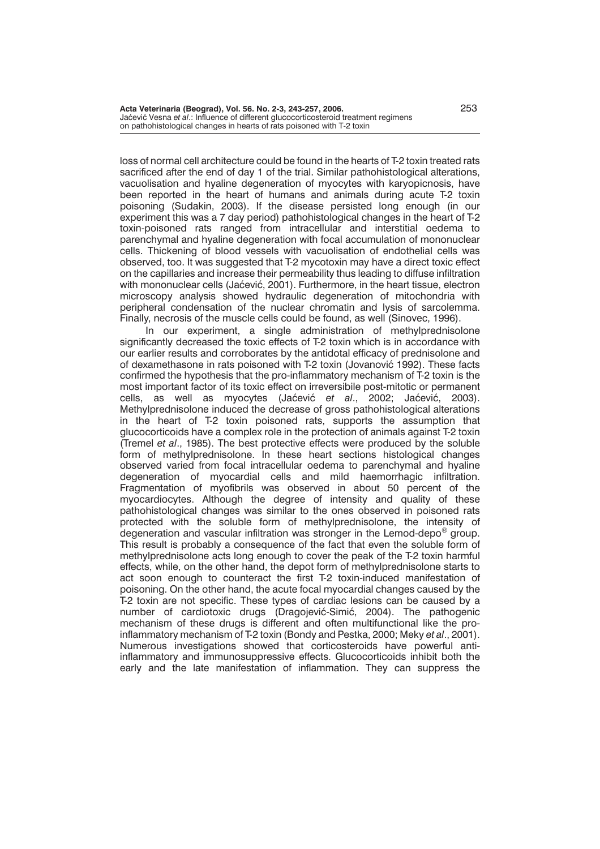loss of normal cell architecture could be found in the hearts of T-2 toxin treated rats sacrificed after the end of day 1 of the trial. Similar pathohistological alterations, vacuolisation and hyaline degeneration of myocytes with karyopicnosis, have been reported in the heart of humans and animals during acute T-2 toxin poisoning (Sudakin, 2003). If the disease persisted long enough (in our experiment this was a 7 day period) pathohistological changes in the heart of T-2 toxin-poisoned rats ranged from intracellular and interstitial oedema to parenchymal and hyaline degeneration with focal accumulation of mononuclear cells. Thickening of blood vessels with vacuolisation of endothelial cells was observed, too. It was suggested that T-2 mycotoxin may have a direct toxic effect on the capillaries and increase their permeability thus leading to diffuse infiltration with mononuclear cells (Jaćević, 2001). Furthermore, in the heart tissue, electron microscopy analysis showed hydraulic degeneration of mitochondria with peripheral condensation of the nuclear chromatin and lysis of sarcolemma. Finally, necrosis of the muscle cells could be found, as well (Sinovec, 1996).

In our experiment, a single administration of methylprednisolone significantly decreased the toxic effects of T-2 toxin which is in accordance with our earlier results and corroborates by the antidotal efficacy of prednisolone and of dexamethasone in rats poisoned with T-2 toxin (Jovanović 1992). These facts confirmed the hypothesis that the pro-inflammatory mechanism of T-2 toxin is the most important factor of its toxic effect on irreversibile post-mitotic or permanent cells, as well as myocytes (Jaćević *et al.*, 2002; Jaćević, 2003). Methylprednisolone induced the decrease of gross pathohistological alterations in the heart of T-2 toxin poisoned rats, supports the assumption that glucocorticoids have a complex role in the protection of animals against T-2 toxin (Tremel *et al*., 1985). The best protective effects were produced by the soluble form of methylprednisolone. In these heart sections histological changes observed varied from focal intracellular oedema to parenchymal and hyaline degeneration of myocardial cells and mild haemorrhagic infiltration. Fragmentation of myofibrils was observed in about 50 percent of the myocardiocytes. Although the degree of intensity and quality of these pathohistological changes was similar to the ones observed in poisoned rats protected with the soluble form of methylprednisolone, the intensity of degeneration and vascular infiltration was stronger in the Lemod-depo® group. This result is probably a consequence of the fact that even the soluble form of methylprednisolone acts long enough to cover the peak of the T-2 toxin harmful effects, while, on the other hand, the depot form of methylprednisolone starts to act soon enough to counteract the first T-2 toxin-induced manifestation of poisoning. On the other hand, the acute focal myocardial changes caused by the T-2 toxin are not specific. These types of cardiac lesions can be caused by a number of cardiotoxic drugs (Dragojević-Simić, 2004). The pathogenic mechanism of these drugs is different and often multifunctional like the proinflammatory mechanism of T-2 toxin (Bondy and Pestka, 2000; Meky *et al*., 2001). Numerous investigations showed that corticosteroids have powerful antiinflammatory and immunosuppressive effects. Glucocorticoids inhibit both the early and the late manifestation of inflammation. They can suppress the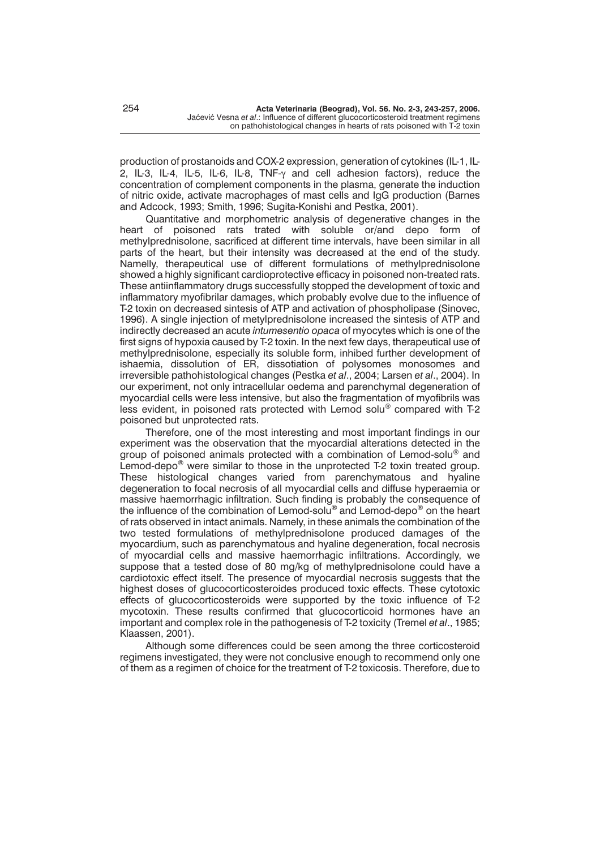production of prostanoids and COX-2 expression, generation of cytokines (IL-1, IL-2, IL-3, IL-4, IL-5, IL-6, IL-8, TNF- $\gamma$  and cell adhesion factors), reduce the concentration of complement components in the plasma, generate the induction of nitric oxide, activate macrophages of mast cells and IgG production (Barnes and Adcock, 1993; Smith, 1996; Sugita-Konishi and Pestka, 2001).

Quantitative and morphometric analysis of degenerative changes in the heart of poisoned rats trated with soluble or/and depo form of methylprednisolone, sacrificed at different time intervals, have been similar in all parts of the heart, but their intensity was decreased at the end of the study. Namelly, therapeutical use of different formulations of methylprednisolone showed a highly significant cardioprotective efficacy in poisoned non-treated rats. These antiinflammatory drugs successfully stopped the development of toxic and inflammatory myofibrilar damages, which probably evolve due to the influence of T-2 toxin on decreased sintesis of ATP and activation of phospholipase (Sinovec, 1996). A single injection of metylprednisolone increased the sintesis of ATP and indirectly decreased an acute *intumesentio opaca* of myocytes which is one of the first signs of hypoxia caused by T-2 toxin. In the next few days, therapeutical use of methylprednisolone, especially its soluble form, inhibed further development of ishaemia, dissolution of ER, dissotiation of polysomes monosomes and irreversible pathohistological changes (Pestka *et al*., 2004; Larsen *et al*., 2004). In our experiment, not only intracellular oedema and parenchymal degeneration of myocardial cells were less intensive, but also the fragmentation of myofibrils was less evident, in poisoned rats protected with Lemod solu® compared with T-2 poisoned but unprotected rats.

Therefore, one of the most interesting and most important findings in our experiment was the observation that the myocardial alterations detected in the group of poisoned animals protected with a combination of Lemod-solu<sup>®</sup> and Lemod-depo<sup>®</sup> were similar to those in the unprotected T-2 toxin treated group. These histological changes varied from parenchymatous and hyaline degeneration to focal necrosis of all myocardial cells and diffuse hyperaemia or massive haemorrhagic infiltration. Such finding is probably the consequence of the influence of the combination of Lemod-solu<sup>®</sup> and Lemod-depo<sup>®</sup> on the heart of rats observed in intact animals. Namely, in these animals the combination of the two tested formulations of methylprednisolone produced damages of the myocardium, such as parenchymatous and hyaline degeneration, focal necrosis of myocardial cells and massive haemorrhagic infiltrations. Accordingly, we suppose that a tested dose of 80 mg/kg of methylprednisolone could have a cardiotoxic effect itself. The presence of myocardial necrosis suggests that the highest doses of glucocorticosteroides produced toxic effects. These cytotoxic effects of glucocorticosteroids were supported by the toxic influence of T-2 mycotoxin. These results confirmed that glucocorticoid hormones have an important and complex role in the pathogenesis of T-2 toxicity (Tremel *et al*., 1985; Klaassen, 2001).

Although some differences could be seen among the three corticosteroid regimens investigated, they were not conclusive enough to recommend only one of them as a regimen of choice for the treatment of T-2 toxicosis. Therefore, due to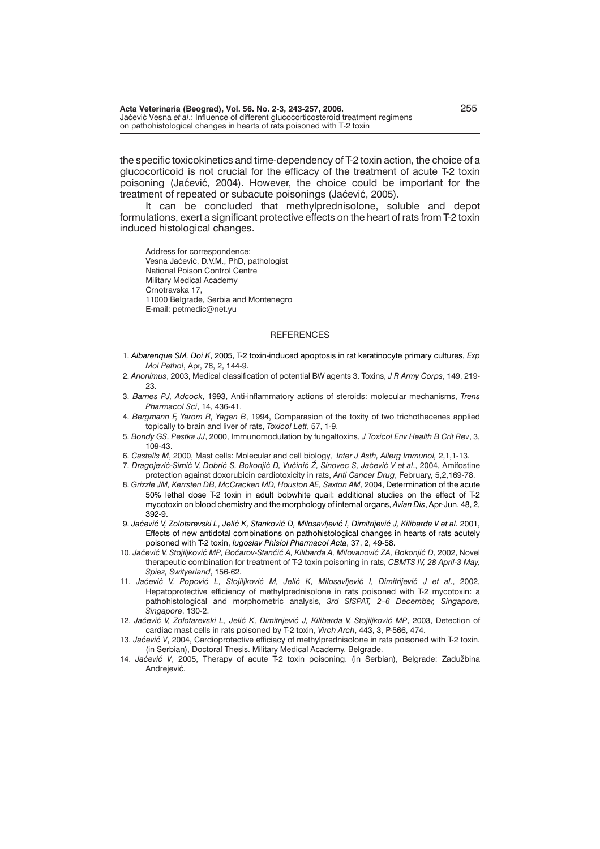**Acta Veterinaria (Beograd), Vol. 56. No. 2-3, 243-257, 2006.** 255 Jaćević Vesna et al.: Influence of different glucocorticosteroid treatment regimens on pathohistological changes in hearts of rats poisoned with T-2 toxin

the specific toxicokinetics and time-dependency of T-2 toxin action, the choice of a glucocorticoid is not crucial for the efficacy of the treatment of acute T-2 toxin poisoning (Jaćević, 2004). However, the choice could be important for the treatment of repeated or subacute poisonings (Jaćević, 2005).

It can be concluded that methylprednisolone, soluble and depot formulations, exert a significant protective effects on the heart of rats from T-2 toxin induced histological changes.

Address for correspondence: Vesna Jaćević, D.V.M., PhD, pathologist National Poison Control Centre Military Medical Academy Crnotravska 17, 11000 Belgrade, Serbia and Montenegro E-mail: petmedic@net.yu

#### **REFERENCES**

- 1. *Albarenque SM, Doi K*, 2005, T-2 toxin-induced apoptosis in rat keratinocyte primary cultures, *Exp Mol Pathol*, Apr, 78, 2, 144-9.
- 2. *Anonimus*, 2003, Medical classification of potential BW agents 3. Toxins, *J R Army Corps*, 149, 219- 23.
- 3. *Barnes PJ, Adcock*, 1993, Anti-inflammatory actions of steroids: molecular mechanisms, *Trens Pharmacol Sci*, 14, 436-41.
- 4. *Bergmann F, Yarom R, Yagen B*, 1994, Comparasion of the toxity of two trichothecenes applied topically to brain and liver of rats, *Toxicol Lett*, 57, 1-9.
- 5. *Bondy GS, Pestka JJ*, 2000, Immunomodulation by fungaltoxins, *J Toxicol Env Health B Crit Rev*, 3, 109-43.
- 6. *Castells M*, 2000, Mast cells: Molecular and cell biology, *Inter J Asth, Allerg Immunol,* 2,1,1-13.
- 7. Dragojević-Simić V, Dobrić S, Bokonjić D, Vučinić Ž, Sinovec S, Jaćević V et al., 2004, Amifostine protection against doxorubicin cardiotoxicity in rats, *Anti Cancer Drug*, February, 5,2,169-78.
- 8. *Grizzle JM, Kerrsten DB, McCracken MD, Houston AE, Saxton AM*, 2004, Determination of the acute 50% lethal dose T-2 toxin in adult bobwhite quail: additional studies on the effect of T-2 mycotoxin on blood chemistry and the morphology of internal organs, *Avian Dis*, Apr-Jun, 48, 2, 392-9.
- 9. Jaćević V, Zolotarevski L, Jelić K, Stanković D, Milosavljević I, Dimitrijević J, Kilibarda V et al. 2001, Effects of new antidotal combinations on pathohistological changes in hearts of rats acutely poisoned with T-2 toxin, *Iugoslav Phisiol Pharmacol Acta*, 37, 2, 49-58.
- 10. Jaćević V, Stojiljković MP, Bočarov-Stančić A, Kilibarda A, Milovanović ZA, Bokonjić D, 2002, Novel therapeutic combination for treatment of T-2 toxin poisoning in rats, *CBMTS IV, 28 April-3 May, Spiez, Swityerland*, 156-62.
- 11. Jaćević V, Popović L, Stojiljković M, Jelić K, Milosavljević I, Dimitrijević J et al., 2002, Hepatoprotective efficiency of methylprednisolone in rats poisoned with T-2 mycotoxin: a pathohistological and morphometric analysis, *3rd SISPAT, 2–6 December, Singapore, Singapore*, 130-2.
- 12. Jaćević V, Zolotarevski L, Jelić K, Dimitrijević J, Kilibarda V, Stojiljković MP, 2003, Detection of cardiac mast cells in rats poisoned by T-2 toxin, *Virch Arch*, 443, 3, P-566, 474.
- 13. *Jaćević V*, 2004, Cardioprotective efficiacy of methylprednisolone in rats poisoned with T-2 toxin. (in Serbian), Doctoral Thesis. Military Medical Academy, Belgrade.
- 14. *Jaćević V*, 2005, Therapy of acute T-2 toxin poisoning. (in Serbian), Belgrade: Zadužbina Andrejević.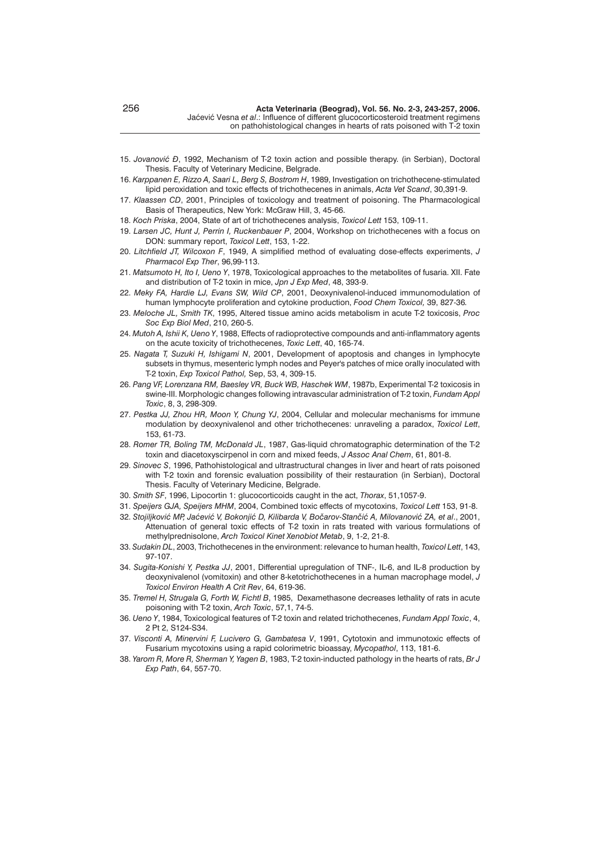- 15. Jovanović Đ, 1992, Mechanism of T-2 toxin action and possible therapy. (in Serbian), Doctoral Thesis. Faculty of Veterinary Medicine, Belgrade.
- 16. *Karppanen E, Rizzo A, Saari L, Berg S, Bostrom H*, 1989, Investigation on trichothecene-stimulated lipid peroxidation and toxic effects of trichothecenes in animals, *Acta Vet Scand*, 30,391-9.
- 17. *Klaassen CD*, 2001, Principles of toxicology and treatment of poisoning. The Pharmacological Basis of Therapeutics, New York: McGraw Hill, 3, 45-66.
- 18. *Koch Priska*, 2004, State of art of trichothecenes analysis, *Toxicol Lett* 153, 109-11.
- 19. *Larsen JC, Hunt J, Perrin I, Ruckenbauer P*, 2004, Workshop on trichothecenes with a focus on DON: summary report, *Toxicol Lett*, 153, 1-22.
- 20. *Litchfield JT, Wilcoxon F*, 1949, A simplified method of evaluating dose-effects experiments, *J Pharmacol Exp Ther*, 96,99-113.
- 21. *Matsumoto H, Ito I, Ueno Y*, 1978, Toxicological approaches to the metabolites of fusaria. XII. Fate and distribution of T-2 toxin in mice, *Jpn J Exp Med*, 48, 393-9.
- 22. *Meky FA, Hardie LJ, Evans SW, Wild CP*, 2001, Deoxynivalenol-induced immunomodulation of human lymphocyte proliferation and cytokine production, *Food Chem Toxicol,* 39, 827-36*.*
- 23. *Meloche JL, Smith TK*, 1995, Altered tissue amino acids metabolism in acute T-2 toxicosis, *Proc Soc Exp Biol Med*, 210, 260-5.
- 24. *Mutoh A, Ishii K, Ueno Y*, 1988, Effects of radioprotective compounds and anti-inflammatory agents on the acute toxicity of trichothecenes, *Toxic Lett*, 40, 165-74.
- 25. *Nagata T, Suzuki H, Ishigami N*, 2001, Development of apoptosis and changes in lymphocyte subsets in thymus, mesenteric lymph nodes and Peyer's patches of mice orally inoculated with T-2 toxin, *Exp Toxicol Pathol,* Sep, 53, 4, 309-15.
- 26. *Pang VF, Lorenzana RM, Baesley VR, Buck WB, Haschek WM*, 1987b, Experimental T-2 toxicosis in swine-III. Morphologic changes following intravascular administration of T-2 toxin, *Fundam Appl Toxic*, 8, 3, 298-309.
- 27. *Pestka JJ, Zhou HR, Moon Y, Chung YJ*, 2004, Cellular and molecular mechanisms for immune modulation by deoxynivalenol and other trichothecenes: unraveling a paradox, *Toxicol Lett*, 153, 61-73.
- 28. *Romer TR, Boling TM, McDonald JL*, 1987, Gas-liquid chromatographic determination of the T-2 toxin and diacetoxyscirpenol in corn and mixed feeds, *J Assoc Anal Chem*, 61, 801-8.
- 29. *Sinovec S*, 1996, Pathohistological and ultrastructural changes in liver and heart of rats poisoned with T-2 toxin and forensic evaluation possibility of their restauration (in Serbian), Doctoral Thesis. Faculty of Veterinary Medicine, Belgrade.
- 30. *Smith SF*, 1996, Lipocortin 1: glucocorticoids caught in the act, *Thorax*, 51,1057-9.
- 31. *Speijers GJA, Speijers MHM*, 2004, Combined toxic effects of mycotoxins, *Toxicol Lett* 153, 91-8.
- 32. Stojiljković MP, Jaćević V, Bokonjić D, Kilibarda V, Bočarov-Stančić A, Milovanović ZA, et al., 2001, Attenuation of general toxic effects of T-2 toxin in rats treated with various formulations of methylprednisolone, *Arch Toxicol Kinet Xenobiot Metab*, 9, 1-2, 21-8.
- 33. *Sudakin DL*, 2003, Trichothecenes in the environment: relevance to human health, *Toxicol Lett*, 143, 97-107.
- 34. *Sugita-Konishi Y, Pestka JJ*, 2001, Differential upregulation of TNF-, IL-6, and IL-8 production by deoxynivalenol (vomitoxin) and other 8-ketotrichothecenes in a human macrophage model, *J Toxicol Environ Health A Crit Rev*, 64, 619-36.
- 35. *Tremel H, Strugala G, Forth W, Fichtl B*, 1985, Dexamethasone decreases lethality of rats in acute poisoning with T-2 toxin, *Arch Toxic*, 57,1, 74-5.
- 36. *Ueno Y*, 1984, Toxicological features of T-2 toxin and related trichothecenes, *Fundam Appl Toxic*, 4, 2 Pt 2, S124-S34.
- 37. *Visconti A, Minervini F, Lucivero G, Gambatesa V*, 1991, Cytotoxin and immunotoxic effects of Fusarium mycotoxins using a rapid colorimetric bioassay, *Mycopathol*, 113, 181-6.
- 38. *Yarom R, More R, Sherman Y, Yagen B*, 1983, T-2 toxin-inducted pathology in the hearts of rats, *Br J Exp Path*, 64, 557-70.